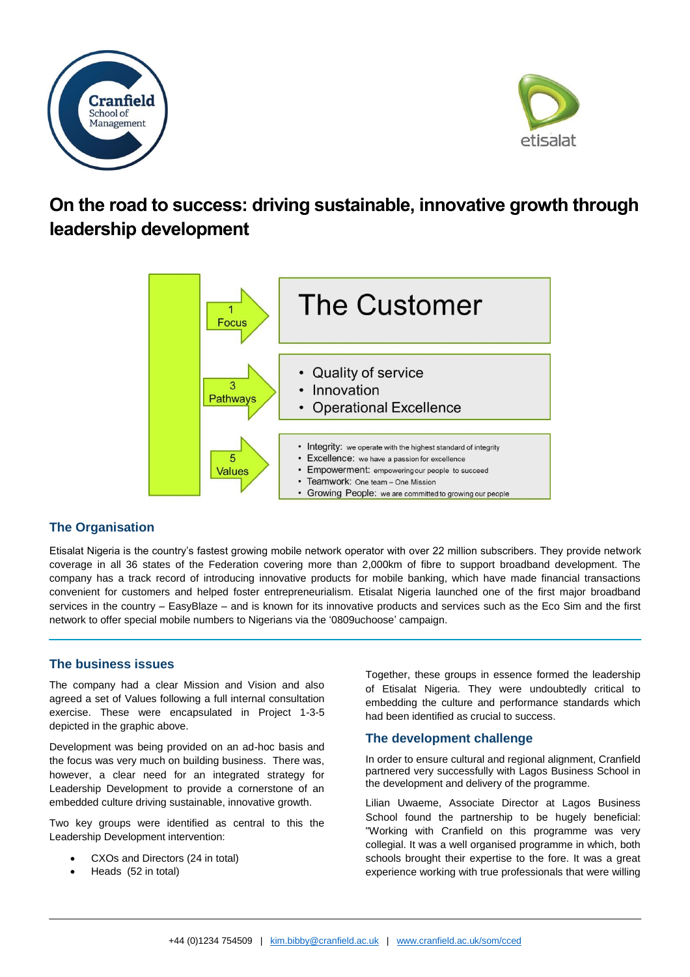



# **On the road to success: driving sustainable, innovative growth through leadership development**



# **The Organisation**

Etisalat Nigeria is the country's fastest growing mobile network operator with over 22 million subscribers. They provide network coverage in all 36 states of the Federation covering more than 2,000km of fibre to support broadband development. The company has a track record of introducing innovative products for mobile banking, which have made financial transactions convenient for customers and helped foster entrepreneurialism. Etisalat Nigeria launched one of the first major broadband services in the country – EasyBlaze – and is known for its innovative products and services such as the Eco Sim and the first network to offer special mobile numbers to Nigerians via the '0809uchoose' campaign.

# **The business issues**

The company had a clear Mission and Vision and also agreed a set of Values following a full internal consultation exercise. These were encapsulated in Project 1-3-5 depicted in the graphic above.

Development was being provided on an ad-hoc basis and the focus was very much on building business. There was, however, a clear need for an integrated strategy for Leadership Development to provide a cornerstone of an embedded culture driving sustainable, innovative growth.

Two key groups were identified as central to this the Leadership Development intervention:

- CXOs and Directors (24 in total)
- Heads (52 in total)

Together, these groups in essence formed the leadership of Etisalat Nigeria. They were undoubtedly critical to embedding the culture and performance standards which had been identified as crucial to success.

# **The development challenge**

In order to ensure cultural and regional alignment, Cranfield partnered very successfully with Lagos Business School in the development and delivery of the programme.

Lilian Uwaeme, Associate Director at Lagos Business School found the partnership to be hugely beneficial: "Working with Cranfield on this programme was very collegial. It was a well organised programme in which, both schools brought their expertise to the fore. It was a great experience working with true professionals that were willing